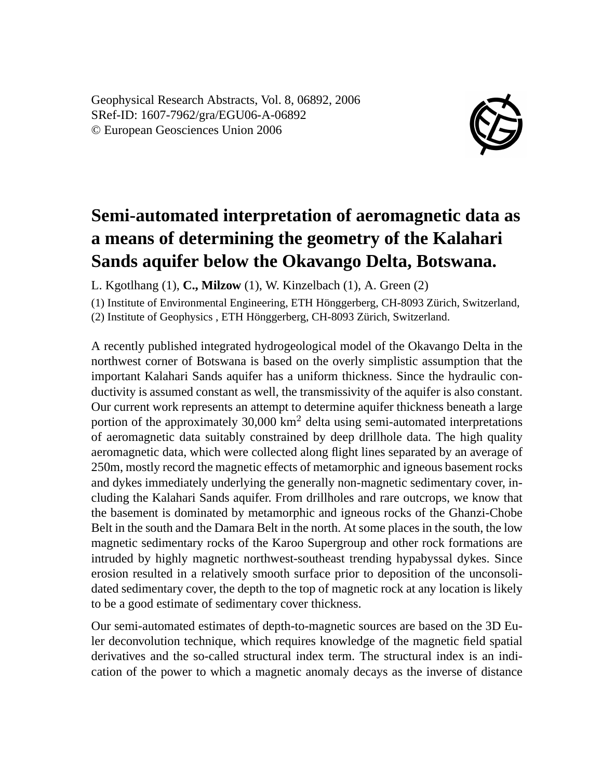Geophysical Research Abstracts, Vol. 8, 06892, 2006 SRef-ID: 1607-7962/gra/EGU06-A-06892 © European Geosciences Union 2006



## **Semi-automated interpretation of aeromagnetic data as a means of determining the geometry of the Kalahari Sands aquifer below the Okavango Delta, Botswana.**

L. Kgotlhang (1), **C., Milzow** (1), W. Kinzelbach (1), A. Green (2)

(1) Institute of Environmental Engineering, ETH Hönggerberg, CH-8093 Zürich, Switzerland, (2) Institute of Geophysics , ETH Hönggerberg, CH-8093 Zürich, Switzerland.

A recently published integrated hydrogeological model of the Okavango Delta in the northwest corner of Botswana is based on the overly simplistic assumption that the important Kalahari Sands aquifer has a uniform thickness. Since the hydraulic conductivity is assumed constant as well, the transmissivity of the aquifer is also constant. Our current work represents an attempt to determine aquifer thickness beneath a large portion of the approximately 30,000 km<sup>2</sup> delta using semi-automated interpretations of aeromagnetic data suitably constrained by deep drillhole data. The high quality aeromagnetic data, which were collected along flight lines separated by an average of 250m, mostly record the magnetic effects of metamorphic and igneous basement rocks and dykes immediately underlying the generally non-magnetic sedimentary cover, including the Kalahari Sands aquifer. From drillholes and rare outcrops, we know that the basement is dominated by metamorphic and igneous rocks of the Ghanzi-Chobe Belt in the south and the Damara Belt in the north. At some places in the south, the low magnetic sedimentary rocks of the Karoo Supergroup and other rock formations are intruded by highly magnetic northwest-southeast trending hypabyssal dykes. Since erosion resulted in a relatively smooth surface prior to deposition of the unconsolidated sedimentary cover, the depth to the top of magnetic rock at any location is likely to be a good estimate of sedimentary cover thickness.

Our semi-automated estimates of depth-to-magnetic sources are based on the 3D Euler deconvolution technique, which requires knowledge of the magnetic field spatial derivatives and the so-called structural index term. The structural index is an indication of the power to which a magnetic anomaly decays as the inverse of distance